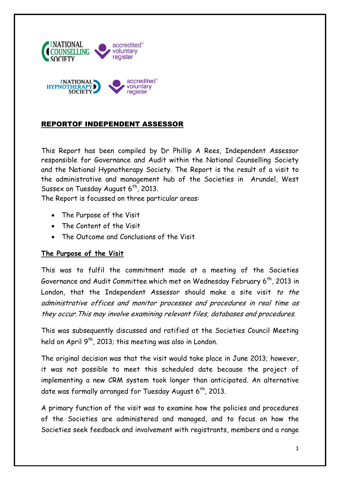

### REPORTOF INDEPENDENT ASSESSOR

This Report has been compiled by Dr Phillip A Rees, Independent Assessor responsible for Governance and Audit within the National Counselling Society and the National Hypnotherapy Society. The Report is the result of a visit to the administrative and management hub of the Societies in Arundel, West Sussex on Tuesday August  $6<sup>th</sup>$ , 2013.

The Report is focussed on three particular areas:

- The Purpose of the Visit
- The Content of the Visit
- The Outcome and Conclusions of the Visit

### **The Purpose of the Visit**

This was to fulfil the commitment made at a meeting of the Societies Governance and Audit Committee which met on Wednesday February 6<sup>th</sup>, 2013 in London, that the Independent Assessor should make a site visit to the administrative offices and monitor processes and procedures in real time as they occur.This may involve examining relevant files, databases and procedures.

This was subsequently discussed and ratified at the Societies Council Meeting held on April  $9<sup>th</sup>$ , 2013; this meeting was also in London.

The original decision was that the visit would take place in June 2013; however, it was not possible to meet this scheduled date because the project of implementing a new CRM system took longer than anticipated. An alternative date was formally arranged for Tuesday August  $6<sup>th</sup>$ , 2013.

A primary function of the visit was to examine how the policies and procedures of the Societies are administered and managed, and to focus on how the Societies seek feedback and involvement with registrants, members and a range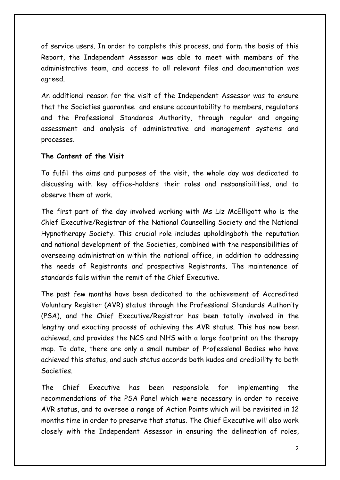of service users. In order to complete this process, and form the basis of this Report, the Independent Assessor was able to meet with members of the administrative team, and access to all relevant files and documentation was agreed.

An additional reason for the visit of the Independent Assessor was to ensure that the Societies guarantee and ensure accountability to members, regulators and the Professional Standards Authority, through regular and ongoing assessment and analysis of administrative and management systems and processes.

#### **The Content of the Visit**

To fulfil the aims and purposes of the visit, the whole day was dedicated to discussing with key office-holders their roles and responsibilities, and to observe them at work.

The first part of the day involved working with Ms Liz McElligott who is the Chief Executive/Registrar of the National Counselling Society and the National Hypnotherapy Society. This crucial role includes upholdingboth the reputation and national development of the Societies, combined with the responsibilities of overseeing administration within the national office, in addition to addressing the needs of Registrants and prospective Registrants. The maintenance of standards falls within the remit of the Chief Executive.

The past few months have been dedicated to the achievement of Accredited Voluntary Register (AVR) status through the Professional Standards Authority (PSA), and the Chief Executive/Registrar has been totally involved in the lengthy and exacting process of achieving the AVR status. This has now been achieved, and provides the NCS and NHS with a large footprint on the therapy map. To date, there are only a small number of Professional Bodies who have achieved this status, and such status accords both kudos and credibility to both Societies.

The Chief Executive has been responsible for implementing the recommendations of the PSA Panel which were necessary in order to receive AVR status, and to oversee a range of Action Points which will be revisited in 12 months time in order to preserve that status. The Chief Executive will also work closely with the Independent Assessor in ensuring the delineation of roles,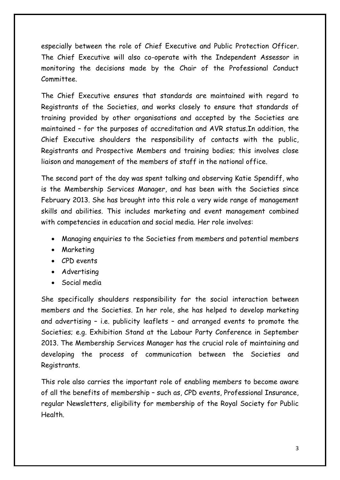especially between the role of Chief Executive and Public Protection Officer. The Chief Executive will also co-operate with the Independent Assessor in monitoring the decisions made by the Chair of the Professional Conduct Committee.

The Chief Executive ensures that standards are maintained with regard to Registrants of the Societies, and works closely to ensure that standards of training provided by other organisations and accepted by the Societies are maintained – for the purposes of accreditation and AVR status.In addition, the Chief Executive shoulders the responsibility of contacts with the public, Registrants and Prospective Members and training bodies; this involves close liaison and management of the members of staff in the national office.

The second part of the day was spent talking and observing Katie Spendiff, who is the Membership Services Manager, and has been with the Societies since February 2013. She has brought into this role a very wide range of management skills and abilities. This includes marketing and event management combined with competencies in education and social media. Her role involves:

- Managing enquiries to the Societies from members and potential members
- Marketing
- CPD events
- Advertising
- Social media

She specifically shoulders responsibility for the social interaction between members and the Societies. In her role, she has helped to develop marketing and advertising – i.e. publicity leaflets – and arranged events to promote the Societies; e.g. Exhibition Stand at the Labour Party Conference in September 2013. The Membership Services Manager has the crucial role of maintaining and developing the process of communication between the Societies and Registrants.

This role also carries the important role of enabling members to become aware of all the benefits of membership – such as, CPD events, Professional Insurance, regular Newsletters, eligibility for membership of the Royal Society for Public Health.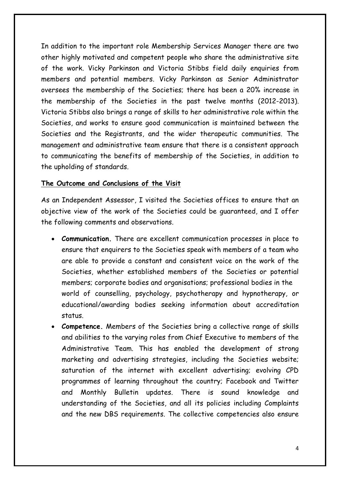In addition to the important role Membership Services Manager there are two other highly motivated and competent people who share the administrative site of the work. Vicky Parkinson and Victoria Stibbs field daily enquiries from members and potential members. Vicky Parkinson as Senior Administrator oversees the membership of the Societies; there has been a 20% increase in the membership of the Societies in the past twelve months (2012-2013). Victoria Stibbs also brings a range of skills to her administrative role within the Societies, and works to ensure good communication is maintained between the Societies and the Registrants, and the wider therapeutic communities. The management and administrative team ensure that there is a consistent approach to communicating the benefits of membership of the Societies, in addition to the upholding of standards.

#### **The Outcome and Conclusions of the Visit**

As an Independent Assessor, I visited the Societies offices to ensure that an objective view of the work of the Societies could be guaranteed, and I offer the following comments and observations.

- **Communication.** There are excellent communication processes in place to ensure that enquirers to the Societies speak with members of a team who are able to provide a constant and consistent voice on the work of the Societies, whether established members of the Societies or potential members; corporate bodies and organisations; professional bodies in the world of counselling, psychology, psychotherapy and hypnotherapy, or educational/awarding bodies seeking information about accreditation status.
- **Competence.** Members of the Societies bring a collective range of skills and abilities to the varying roles from Chief Executive to members of the Administrative Team. This has enabled the development of strong marketing and advertising strategies, including the Societies website; saturation of the internet with excellent advertising; evolving CPD programmes of learning throughout the country; Facebook and Twitter and Monthly Bulletin updates. There is sound knowledge and understanding of the Societies, and all its policies including Complaints and the new DBS requirements. The collective competencies also ensure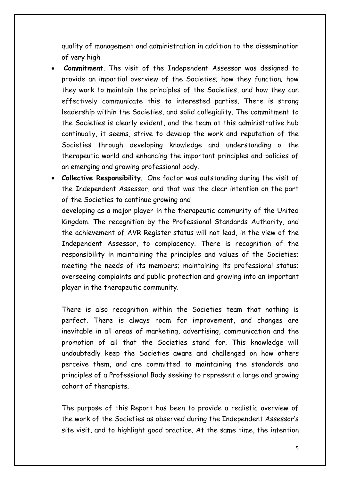quality of management and administration in addition to the dissemination of very high

- **Commitment**. The visit of the Independent Assessor was designed to provide an impartial overview of the Societies; how they function; how they work to maintain the principles of the Societies, and how they can effectively communicate this to interested parties. There is strong leadership within the Societies, and solid collegiality. The commitment to the Societies is clearly evident, and the team at this administrative hub continually, it seems, strive to develop the work and reputation of the Societies through developing knowledge and understanding o the therapeutic world and enhancing the important principles and policies of an emerging and growing professional body.
- **Collective Responsibility**. One factor was outstanding during the visit of the Independent Assessor, and that was the clear intention on the part of the Societies to continue growing and

developing as a major player in the therapeutic community of the United Kingdom. The recognition by the Professional Standards Authority, and the achievement of AVR Register status will not lead, in the view of the Independent Assessor, to complacency. There is recognition of the responsibility in maintaining the principles and values of the Societies; meeting the needs of its members; maintaining its professional status; overseeing complaints and public protection and growing into an important player in the therapeutic community.

There is also recognition within the Societies team that nothing is perfect. There is always room for improvement, and changes are inevitable in all areas of marketing, advertising, communication and the promotion of all that the Societies stand for. This knowledge will undoubtedly keep the Societies aware and challenged on how others perceive them, and are committed to maintaining the standards and principles of a Professional Body seeking to represent a large and growing cohort of therapists.

The purpose of this Report has been to provide a realistic overview of the work of the Societies as observed during the Independent Assessor's site visit, and to highlight good practice. At the same time, the intention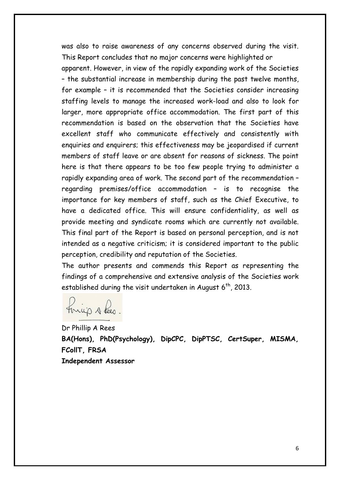was also to raise awareness of any concerns observed during the visit. This Report concludes that no major concerns were highlighted or

apparent. However, in view of the rapidly expanding work of the Societies – the substantial increase in membership during the past twelve months, for example – it is recommended that the Societies consider increasing staffing levels to manage the increased work-load and also to look for larger, more appropriate office accommodation. The first part of this recommendation is based on the observation that the Societies have excellent staff who communicate effectively and consistently with enquiries and enquirers; this effectiveness may be jeopardised if current members of staff leave or are absent for reasons of sickness. The point here is that there appears to be too few people trying to administer a rapidly expanding area of work. The second part of the recommendation – regarding premises/office accommodation – is to recognise the importance for key members of staff, such as the Chief Executive, to have a dedicated office. This will ensure confidentiality, as well as provide meeting and syndicate rooms which are currently not available. This final part of the Report is based on personal perception, and is not intended as a negative criticism; it is considered important to the public perception, credibility and reputation of the Societies.

The author presents and commends this Report as representing the findings of a comprehensive and extensive analysis of the Societies work established during the visit undertaken in August 6th, 2013.

Finijo s Lees

Dr Phillip A Rees **BA(Hons), PhD(Psychology), DipCPC, DipPTSC, CertSuper, MISMA, FCollT, FRSA Independent Assessor**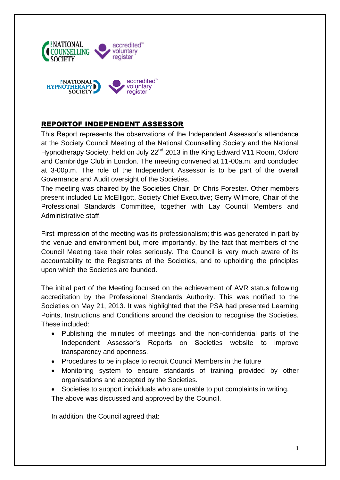

### REPORTOF INDEPENDENT ASSESSOR

This Report represents the observations of the Independent Assessor's attendance at the Society Council Meeting of the National Counselling Society and the National Hypnotherapy Society, held on July 22<sup>nd</sup> 2013 in the King Edward V11 Room, Oxford and Cambridge Club in London. The meeting convened at 11-00a.m. and concluded at 3-00p.m. The role of the Independent Assessor is to be part of the overall Governance and Audit oversight of the Societies.

The meeting was chaired by the Societies Chair, Dr Chris Forester. Other members present included Liz McElligott, Society Chief Executive; Gerry Wilmore, Chair of the Professional Standards Committee, together with Lay Council Members and Administrative staff.

First impression of the meeting was its professionalism; this was generated in part by the venue and environment but, more importantly, by the fact that members of the Council Meeting take their roles seriously. The Council is very much aware of its accountability to the Registrants of the Societies, and to upholding the principles upon which the Societies are founded.

The initial part of the Meeting focused on the achievement of AVR status following accreditation by the Professional Standards Authority. This was notified to the Societies on May 21, 2013. It was highlighted that the PSA had presented Learning Points, Instructions and Conditions around the decision to recognise the Societies. These included:

- Publishing the minutes of meetings and the non-confidential parts of the Independent Assessor's Reports on Societies website to improve transparency and openness.
- Procedures to be in place to recruit Council Members in the future
- Monitoring system to ensure standards of training provided by other organisations and accepted by the Societies.
- Societies to support individuals who are unable to put complaints in writing. The above was discussed and approved by the Council.

In addition, the Council agreed that: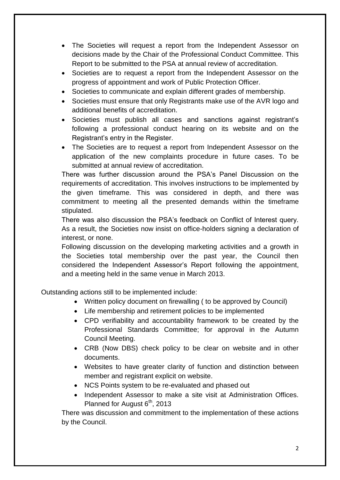- The Societies will request a report from the Independent Assessor on decisions made by the Chair of the Professional Conduct Committee. This Report to be submitted to the PSA at annual review of accreditation.
- Societies are to request a report from the Independent Assessor on the progress of appointment and work of Public Protection Officer.
- Societies to communicate and explain different grades of membership.
- Societies must ensure that only Registrants make use of the AVR logo and additional benefits of accreditation.
- Societies must publish all cases and sanctions against registrant's following a professional conduct hearing on its website and on the Registrant's entry in the Register.
- The Societies are to request a report from Independent Assessor on the application of the new complaints procedure in future cases. To be submitted at annual review of accreditation.

There was further discussion around the PSA's Panel Discussion on the requirements of accreditation. This involves instructions to be implemented by the given timeframe. This was considered in depth, and there was commitment to meeting all the presented demands within the timeframe stipulated.

There was also discussion the PSA's feedback on Conflict of Interest query. As a result, the Societies now insist on office-holders signing a declaration of interest, or none.

Following discussion on the developing marketing activities and a growth in the Societies total membership over the past year, the Council then considered the Independent Assessor's Report following the appointment, and a meeting held in the same venue in March 2013.

Outstanding actions still to be implemented include:

- Written policy document on firewalling ( to be approved by Council)
- Life membership and retirement policies to be implemented
- CPD verifiability and accountability framework to be created by the Professional Standards Committee; for approval in the Autumn Council Meeting.
- CRB (Now DBS) check policy to be clear on website and in other documents.
- Websites to have greater clarity of function and distinction between member and registrant explicit on website.
- NCS Points system to be re-evaluated and phased out
- Independent Assessor to make a site visit at Administration Offices. Planned for August 6<sup>th</sup>, 2013

There was discussion and commitment to the implementation of these actions by the Council.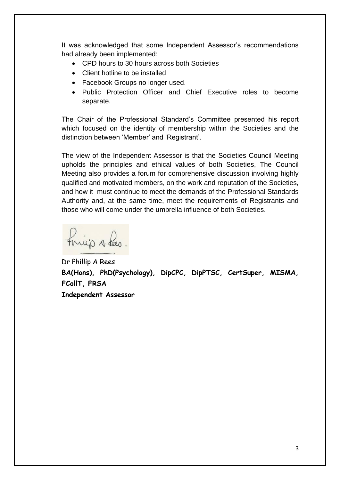It was acknowledged that some Independent Assessor's recommendations had already been implemented:

- CPD hours to 30 hours across both Societies
- Client hotline to be installed
- Facebook Groups no longer used.
- Public Protection Officer and Chief Executive roles to become separate.

The Chair of the Professional Standard's Committee presented his report which focused on the identity of membership within the Societies and the distinction between 'Member' and 'Registrant'.

The view of the Independent Assessor is that the Societies Council Meeting upholds the principles and ethical values of both Societies, The Council Meeting also provides a forum for comprehensive discussion involving highly qualified and motivated members, on the work and reputation of the Societies, and how it must continue to meet the demands of the Professional Standards Authority and, at the same time, meet the requirements of Registrants and those who will come under the umbrella influence of both Societies.

things theo.

Dr Phillip A Rees **BA(Hons), PhD(Psychology), DipCPC, DipPTSC, CertSuper, MISMA, FCollT, FRSA Independent Assessor**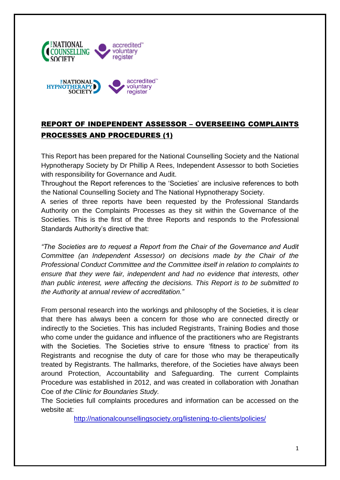

# REPORT OF INDEPENDENT ASSESSOR – OVERSEEING COMPLAINTS PROCESSES AND PROCEDURES (1)

This Report has been prepared for the National Counselling Society and the National Hypnotherapy Society by Dr Phillip A Rees, Independent Assessor to both Societies with responsibility for Governance and Audit.

Throughout the Report references to the 'Societies' are inclusive references to both the National Counselling Society and The National Hypnotherapy Society.

A series of three reports have been requested by the Professional Standards Authority on the Complaints Processes as they sit within the Governance of the Societies. This is the first of the three Reports and responds to the Professional Standards Authority's directive that:

*"The Societies are to request a Report from the Chair of the Governance and Audit Committee (an Independent Assessor) on decisions made by the Chair of the Professional Conduct Committee and the Committee itself in relation to complaints to ensure that they were fair, independent and had no evidence that interests, other than public interest, were affecting the decisions. This Report is to be submitted to the Authority at annual review of accreditation."*

From personal research into the workings and philosophy of the Societies, it is clear that there has always been a concern for those who are connected directly or indirectly to the Societies. This has included Registrants, Training Bodies and those who come under the guidance and influence of the practitioners who are Registrants with the Societies. The Societies strive to ensure 'fitness to practice' from its Registrants and recognise the duty of care for those who may be therapeutically treated by Registrants. The hallmarks, therefore, of the Societies have always been around Protection, Accountability and Safeguarding. The current Complaints Procedure was established in 2012, and was created in collaboration with Jonathan Coe of *the Clinic for Boundaries Study.*

The Societies full complaints procedures and information can be accessed on the website at:

http://nationalcounsellingsociety.org/listening-to-clients/policies/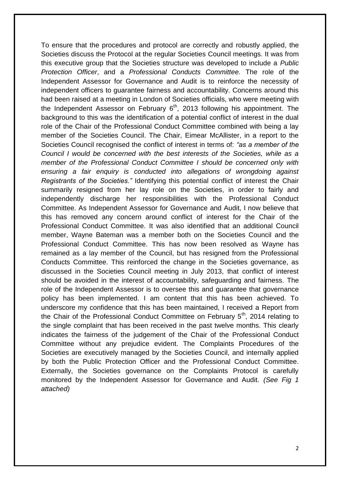To ensure that the procedures and protocol are correctly and robustly applied, the Societies discuss the Protocol at the regular Societies Council meetings. It was from this executive group that the Societies structure was developed to include a *Public Protection Officer*, and a *Professional Conducts Committee.* The role of the Independent Assessor for Governance and Audit is to reinforce the necessity of independent officers to guarantee fairness and accountability. Concerns around this had been raised at a meeting in London of Societies officials, who were meeting with the Independent Assessor on February  $6<sup>th</sup>$ , 2013 following his appointment. The background to this was the identification of a potential conflict of interest in the dual role of the Chair of the Professional Conduct Committee combined with being a lay member of the Societies Council. The Chair, Eimear McAllister, in a report to the Societies Council recognised the conflict of interest in terms of: *"as a member of the Council I would be concerned with the best interests of the Societies, while as a member of the Professional Conduct Committee I should be concerned only with ensuring a fair enquiry is conducted into allegations of wrongdoing against Registrants of the Societies."* Identifying this potential conflict of interest the Chair summarily resigned from her lay role on the Societies, in order to fairly and independently discharge her responsibilities with the Professional Conduct Committee. As Independent Assessor for Governance and Audit, I now believe that this has removed any concern around conflict of interest for the Chair of the Professional Conduct Committee. It was also identified that an additional Council member, Wayne Bateman was a member both on the Societies Council and the Professional Conduct Committee. This has now been resolved as Wayne has remained as a lay member of the Council, but has resigned from the Professional Conducts Committee. This reinforced the change in the Societies governance, as discussed in the Societies Council meeting in July 2013, that conflict of interest should be avoided in the interest of accountability, safeguarding and fairness. The role of the Independent Assessor is to oversee this and guarantee that governance policy has been implemented. I am content that this has been achieved. To underscore my confidence that this has been maintained, I received a Report from the Chair of the Professional Conduct Committee on February  $5<sup>th</sup>$ , 2014 relating to the single complaint that has been received in the past twelve months. This clearly indicates the fairness of the judgement of the Chair of the Professional Conduct Committee without any prejudice evident. The Complaints Procedures of the Societies are executively managed by the Societies Council, and internally applied by both the Public Protection Officer and the Professional Conduct Committee. Externally, the Societies governance on the Complaints Protocol is carefully monitored by the Independent Assessor for Governance and Audit. *(See Fig 1 attached)*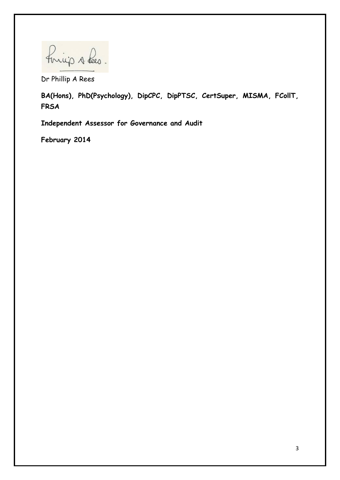Forcijo s Les.

Dr Phillip A Rees

**BA(Hons), PhD(Psychology), DipCPC, DipPTSC, CertSuper, MISMA, FCollT, FRSA**

**Independent Assessor for Governance and Audit**

**February 2014**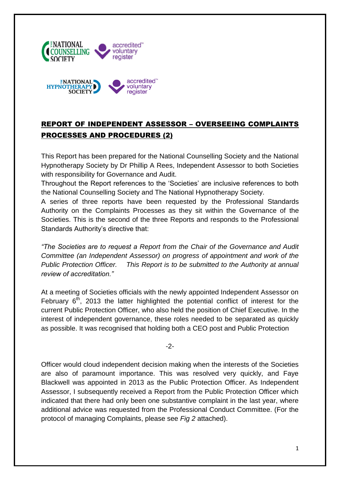

# REPORT OF INDEPENDENT ASSESSOR – OVERSEEING COMPLAINTS PROCESSES AND PROCEDURES (2)

This Report has been prepared for the National Counselling Society and the National Hypnotherapy Society by Dr Phillip A Rees, Independent Assessor to both Societies with responsibility for Governance and Audit.

Throughout the Report references to the 'Societies' are inclusive references to both the National Counselling Society and The National Hypnotherapy Society.

A series of three reports have been requested by the Professional Standards Authority on the Complaints Processes as they sit within the Governance of the Societies. This is the second of the three Reports and responds to the Professional Standards Authority's directive that:

*"The Societies are to request a Report from the Chair of the Governance and Audit Committee (an Independent Assessor) on progress of appointment and work of the Public Protection Officer. This Report is to be submitted to the Authority at annual review of accreditation."*

At a meeting of Societies officials with the newly appointed Independent Assessor on February  $6<sup>th</sup>$ , 2013 the latter highlighted the potential conflict of interest for the current Public Protection Officer, who also held the position of Chief Executive. In the interest of independent governance, these roles needed to be separated as quickly as possible. It was recognised that holding both a CEO post and Public Protection

-2-

Officer would cloud independent decision making when the interests of the Societies are also of paramount importance. This was resolved very quickly, and Faye Blackwell was appointed in 2013 as the Public Protection Officer. As Independent Assessor, I subsequently received a Report from the Public Protection Officer which indicated that there had only been one substantive complaint in the last year, where additional advice was requested from the Professional Conduct Committee. (For the protocol of managing Complaints, please see *Fig 2* attached).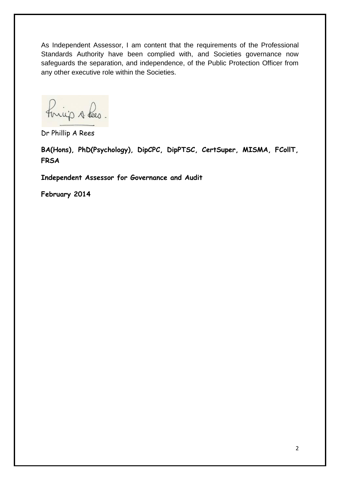As Independent Assessor, I am content that the requirements of the Professional Standards Authority have been complied with, and Societies governance now safeguards the separation, and independence, of the Public Protection Officer from any other executive role within the Societies.

finicip A Lees.

Dr Phillip A Rees

**BA(Hons), PhD(Psychology), DipCPC, DipPTSC, CertSuper, MISMA, FCollT, FRSA**

**Independent Assessor for Governance and Audit**

**February 2014**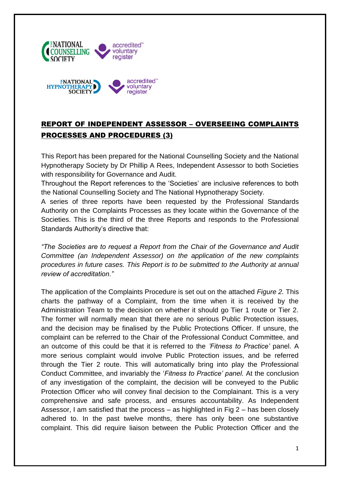![](_page_14_Picture_0.jpeg)

# REPORT OF INDEPENDENT ASSESSOR – OVERSEEING COMPLAINTS PROCESSES AND PROCEDURES (3)

This Report has been prepared for the National Counselling Society and the National Hypnotherapy Society by Dr Phillip A Rees, Independent Assessor to both Societies with responsibility for Governance and Audit.

Throughout the Report references to the 'Societies' are inclusive references to both the National Counselling Society and The National Hypnotherapy Society.

A series of three reports have been requested by the Professional Standards Authority on the Complaints Processes as they locate within the Governance of the Societies. This is the third of the three Reports and responds to the Professional Standards Authority's directive that:

*"The Societies are to request a Report from the Chair of the Governance and Audit Committee (an Independent Assessor) on the application of the new complaints procedures in future cases. This Report is to be submitted to the Authority at annual review of accreditation."*

The application of the Complaints Procedure is set out on the attached *Figure 2.* This charts the pathway of a Complaint, from the time when it is received by the Administration Team to the decision on whether it should go Tier 1 route or Tier 2. The former will normally mean that there are no serious Public Protection issues, and the decision may be finalised by the Public Protections Officer. If unsure, the complaint can be referred to the Chair of the Professional Conduct Committee, and an outcome of this could be that it is referred to the *'Fitness to Practice'* panel. A more serious complaint would involve Public Protection issues, and be referred through the Tier 2 route. This will automatically bring into play the Professional Conduct Committee, and invariably the '*Fitness to Practice' panel.* At the conclusion of any investigation of the complaint, the decision will be conveyed to the Public Protection Officer who will convey final decision to the Complainant. This is a very comprehensive and safe process, and ensures accountability. As Independent Assessor, I am satisfied that the process – as highlighted in Fig 2 – has been closely adhered to. In the past twelve months, there has only been one substantive complaint. This did require liaison between the Public Protection Officer and the